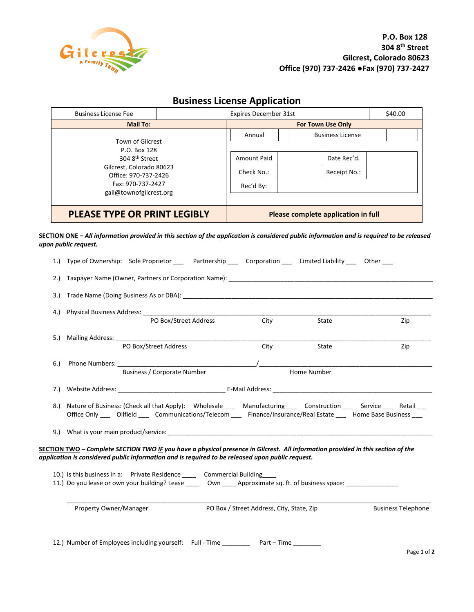

|    | <b>Business License Fee</b><br><b>Mail To:</b>                                                                                                                                                                                                         |                                     | <b>Expires December 31st</b>              |                         |              | \$40.00                   |  |
|----|--------------------------------------------------------------------------------------------------------------------------------------------------------------------------------------------------------------------------------------------------------|-------------------------------------|-------------------------------------------|-------------------------|--------------|---------------------------|--|
|    |                                                                                                                                                                                                                                                        |                                     |                                           |                         |              |                           |  |
|    |                                                                                                                                                                                                                                                        | For Town Use Only<br>Annual         |                                           | <b>Business License</b> |              |                           |  |
|    | Town of Gilcrest<br>P.O. Box 128                                                                                                                                                                                                                       |                                     |                                           |                         |              |                           |  |
|    | 304 8th Street<br>Gilcrest, Colorado 80623                                                                                                                                                                                                             |                                     | Amount Paid                               |                         | Date Rec'd.  |                           |  |
|    |                                                                                                                                                                                                                                                        |                                     | Check No.:                                |                         | Receipt No.: |                           |  |
|    | Office: 970-737-2426<br>Fax: 970-737-2427                                                                                                                                                                                                              |                                     | Rec'd By:                                 |                         |              |                           |  |
|    | gail@townofgilcrest.org                                                                                                                                                                                                                                |                                     |                                           |                         |              |                           |  |
|    | <b>PLEASE TYPE OR PRINT LEGIBLY</b>                                                                                                                                                                                                                    | Please complete application in full |                                           |                         |              |                           |  |
|    | SECTION ONE – All information provided in this section of the application is considered public information and is required to be released                                                                                                              |                                     |                                           |                         |              |                           |  |
|    | upon public request.                                                                                                                                                                                                                                   |                                     |                                           |                         |              |                           |  |
|    | 1.) Type of Ownership: Sole Proprietor _____ Partnership _____ Corporation _____ Limited Liability _____ Other ___                                                                                                                                     |                                     |                                           |                         |              |                           |  |
|    | 2.) Taxpayer Name (Owner, Partners or Corporation Name): 2008 2014 12:00 12:00 12:00 12:00 12:00 12:00 12:00 1                                                                                                                                         |                                     |                                           |                         |              |                           |  |
|    |                                                                                                                                                                                                                                                        |                                     |                                           |                         |              |                           |  |
|    |                                                                                                                                                                                                                                                        |                                     |                                           |                         |              |                           |  |
|    |                                                                                                                                                                                                                                                        |                                     |                                           |                         | State        | Zip                       |  |
|    | 5.) Mailing Address:                                                                                                                                                                                                                                   |                                     |                                           |                         |              |                           |  |
|    | PO Box/Street Address                                                                                                                                                                                                                                  |                                     | City                                      |                         | State        | Zip                       |  |
|    |                                                                                                                                                                                                                                                        |                                     |                                           |                         |              |                           |  |
| 6. |                                                                                                                                                                                                                                                        | <b>Business / Corporate Number</b>  |                                           | Home Number             |              |                           |  |
|    |                                                                                                                                                                                                                                                        |                                     |                                           |                         |              |                           |  |
|    |                                                                                                                                                                                                                                                        |                                     |                                           |                         |              |                           |  |
|    | 8.) Nature of Business: (Check all that Apply): Wholesale ___ Manufacturing ___ Construction ___ Service ___ Retail ___<br>Office Only _____ Oilfield ______ Communications/Telecom ______ Finance/Insurance/Real Estate _____ Home Base Business ____ |                                     |                                           |                         |              |                           |  |
|    |                                                                                                                                                                                                                                                        |                                     |                                           |                         |              |                           |  |
|    |                                                                                                                                                                                                                                                        |                                     |                                           |                         |              |                           |  |
|    | SECTION TWO - Complete SECTION TWO IF you have a physical presence in Gilcrest. All information provided in this section of the<br>application is considered public information and is required to be released upon public request.                    |                                     |                                           |                         |              |                           |  |
|    |                                                                                                                                                                                                                                                        |                                     |                                           |                         |              |                           |  |
|    | 10.) Is this business in a: Private Residence _____ Commercial Building                                                                                                                                                                                |                                     |                                           |                         |              |                           |  |
|    | 11.) Do you lease or own your building? Lease ______ Own _____ Approximate sq. ft. of business space: ______________                                                                                                                                   |                                     |                                           |                         |              |                           |  |
|    | Property Owner/Manager                                                                                                                                                                                                                                 |                                     | PO Box / Street Address, City, State, Zip |                         |              | <b>Business Telephone</b> |  |
|    |                                                                                                                                                                                                                                                        |                                     |                                           |                         |              |                           |  |